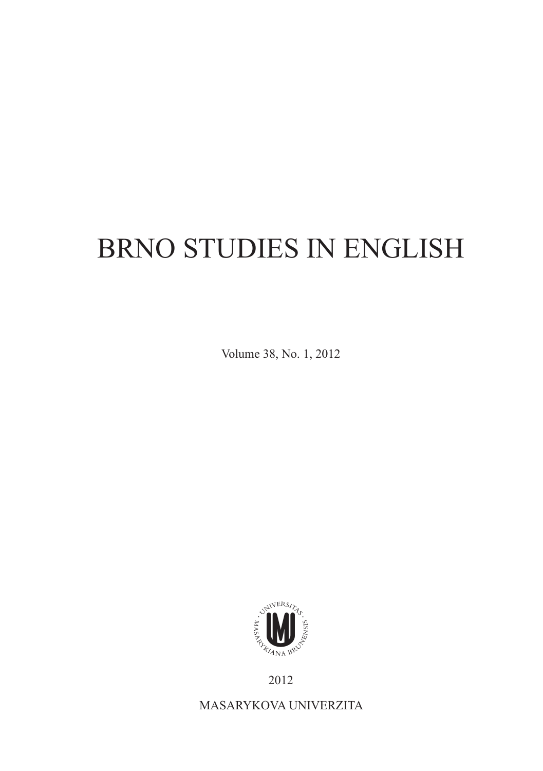## BRNO STUDIES IN ENGLISH

Volume 38, No. 1, 2012



2012

MASARYKOVA UNIVERZITA